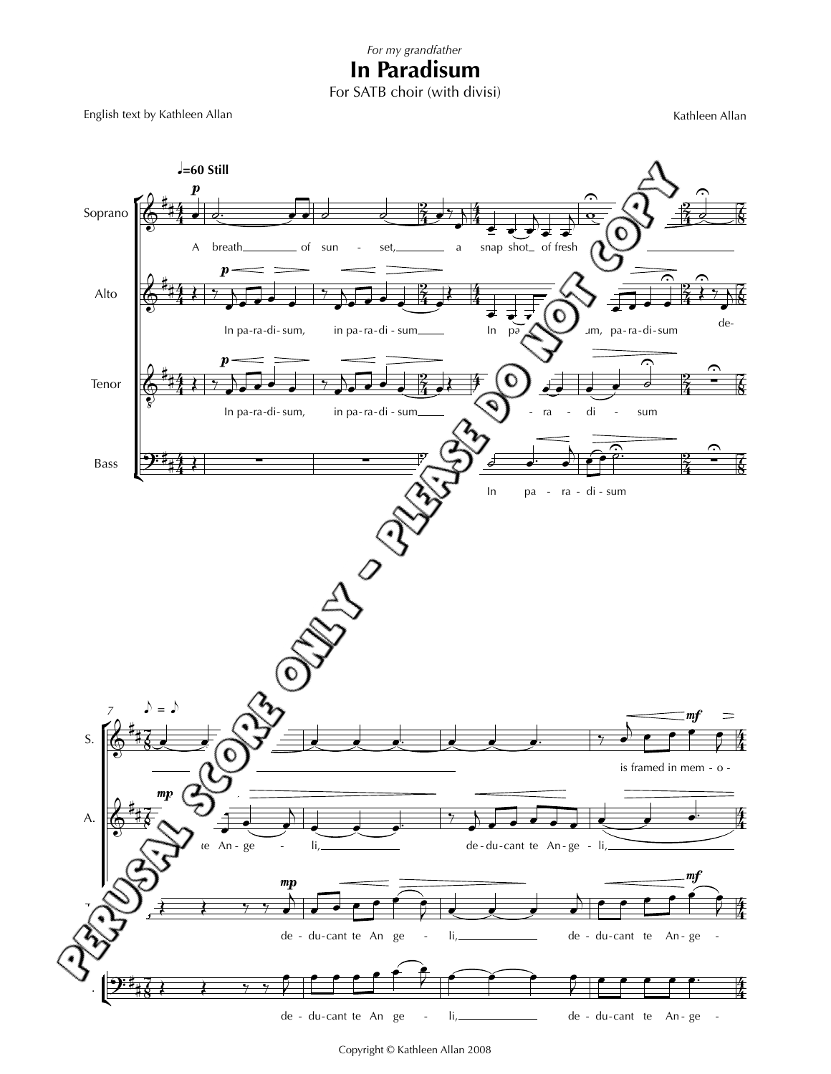## **In Paradisum**

For SATB choir (with divisi)

English text by Kathleen Allan Kathleen Allan Kathleen Allan Kathleen Allan



Copyright © Kathleen Allan 2008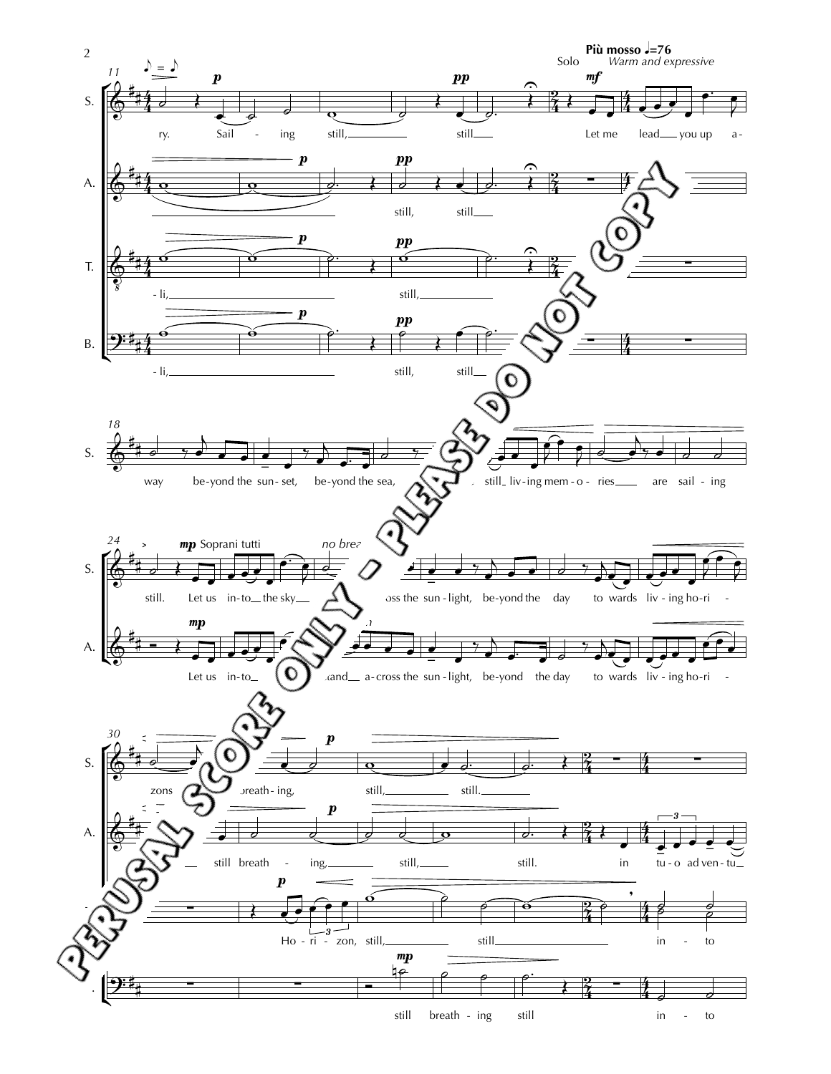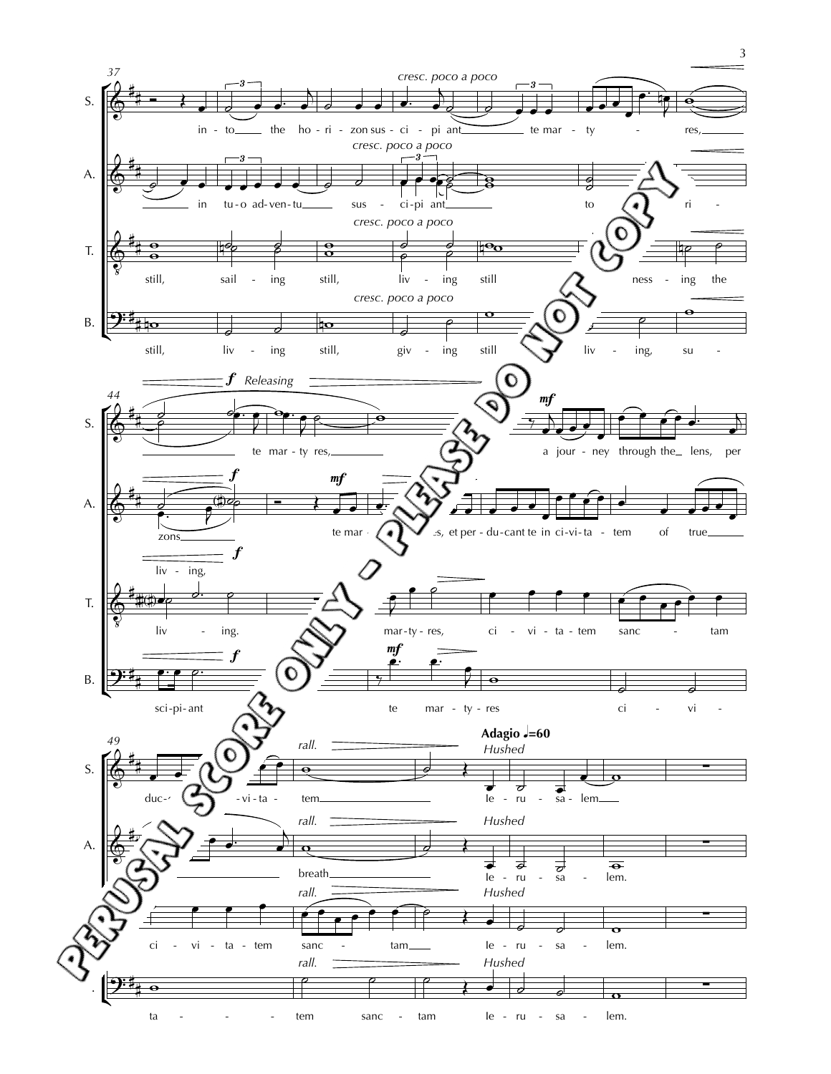

 $ta - - - - - - \trem$ - - - sanc - tam Ie - ru - sa - lem. 3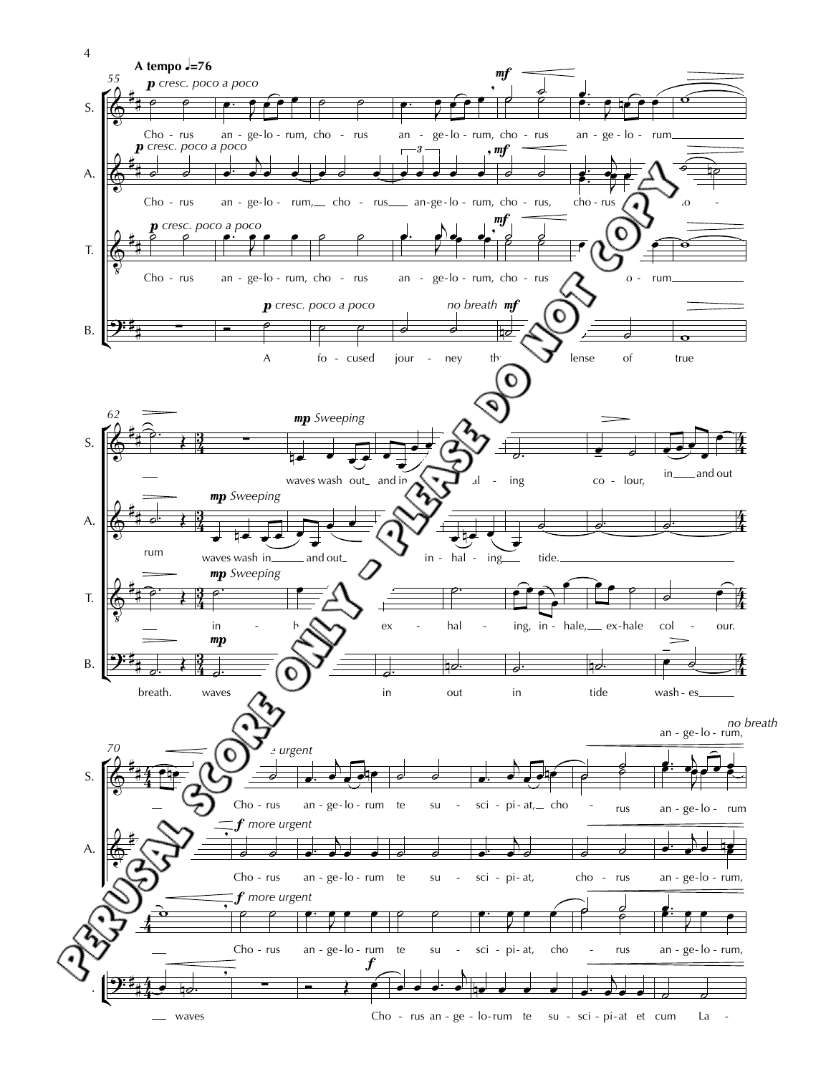